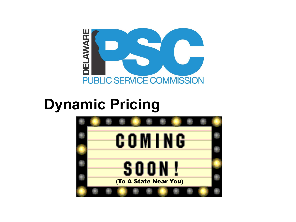

### **Dynamic Pricing**

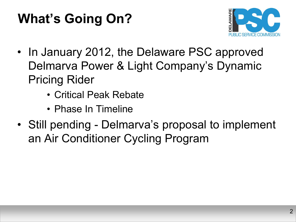### **What's Going On?**



- In January 2012, the Delaware PSC approved Delmarva Power & Light Company's Dynamic Pricing Rider
	- Critical Peak Rebate
	- Phase In Timeline
- Still pending Delmarva's proposal to implement an Air Conditioner Cycling Program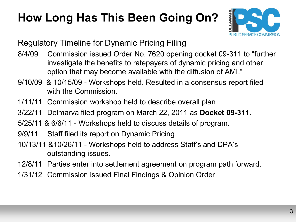#### **How Long Has This Been Going On?**



Regulatory Timeline for Dynamic Pricing Filing

- 8/4/09 Commission issued Order No. 7620 opening docket 09-311 to "further investigate the benefits to ratepayers of dynamic pricing and other option that may become available with the diffusion of AMI."
- 9/10/09 & 10/15/09 Workshops held. Resulted in a consensus report filed with the Commission
- 1/11/11 Commission workshop held to describe overall plan.
- 3/22/11 Delmarva filed program on March 22, 2011 as **Docket 09-311**.
- 5/25/11 & 6/6/11 Workshops held to discuss details of program.
- 9/9/11 Staff filed its report on Dynamic Pricing
- 10/13/11 &10/26/11 Workshops held to address Staff's and DPA's outstanding issues.
- 12/8/11 Parties enter into settlement agreement on program path forward.
- 1/31/12 Commission issued Final Findings & Opinion Order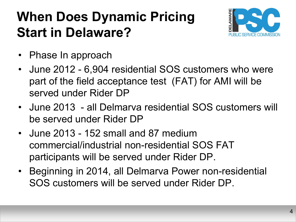#### **When Does Dynamic Pricing Start in Delaware?**



- Phase In approach
- June 2012 6,904 residential SOS customers who were part of the field acceptance test (FAT) for AMI will be served under Rider DP
- June 2013 all Delmarva residential SOS customers will be served under Rider DP
- June 2013 152 small and 87 medium commercial/industrial non-residential SOS FAT participants will be served under Rider DP.
- Beginning in 2014, all Delmarva Power non-residential SOS customers will be served under Rider DP.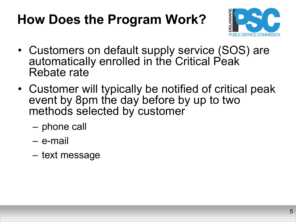### **How Does the Program Work?**



- Customers on default supply service (SOS) are automatically enrolled in the Critical Peak Rebate rate
- Customer will typically be notified of critical peak event by 8pm the day before by up to two methods selected by customer
	- phone call
	- e-mail
	- text message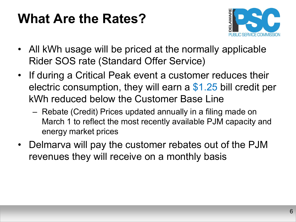#### **What Are the Rates?**



- All kWh usage will be priced at the normally applicable Rider SOS rate (Standard Offer Service)
- If during a Critical Peak event a customer reduces their electric consumption, they will earn a \$1.25 bill credit per kWh reduced below the Customer Base Line
	- Rebate (Credit) Prices updated annually in a filing made on March 1 to reflect the most recently available PJM capacity and energy market prices
- Delmarva will pay the customer rebates out of the PJM revenues they will receive on a monthly basis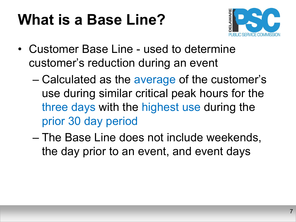## **What is a Base Line?**



- Customer Base Line used to determine customer's reduction during an event
	- Calculated as the average of the customer's use during similar critical peak hours for the three days with the highest use during the prior 30 day period
	- The Base Line does not include weekends, the day prior to an event, and event days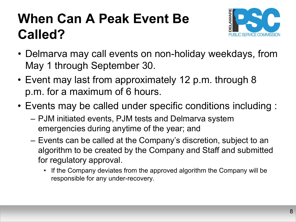### **When Can A Peak Event Be Called?**



- Delmarva may call events on non-holiday weekdays, from May 1 through September 30.
- Event may last from approximately 12 p.m. through 8 p.m. for a maximum of 6 hours.
- Events may be called under specific conditions including :
	- PJM initiated events, PJM tests and Delmarva system emergencies during anytime of the year; and
	- Events can be called at the Company's discretion, subject to an algorithm to be created by the Company and Staff and submitted for regulatory approval.
		- If the Company deviates from the approved algorithm the Company will be responsible for any under-recovery.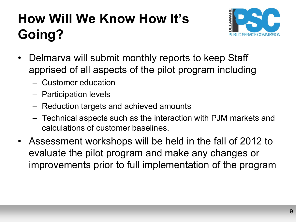### **How Will We Know How It's Going?**



- Delmarva will submit monthly reports to keep Staff apprised of all aspects of the pilot program including
	- Customer education
	- Participation levels
	- Reduction targets and achieved amounts
	- Technical aspects such as the interaction with PJM markets and calculations of customer baselines.
- Assessment workshops will be held in the fall of 2012 to evaluate the pilot program and make any changes or improvements prior to full implementation of the program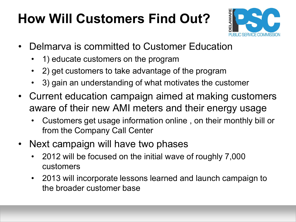### **How Will Customers Find Out?**



- Delmarva is committed to Customer Education
	- 1) educate customers on the program
	- 2) get customers to take advantage of the program
	- 3) gain an understanding of what motivates the customer
- Current education campaign aimed at making customers aware of their new AMI meters and their energy usage
	- Customers get usage information online , on their monthly bill or from the Company Call Center
- Next campaign will have two phases
	- 2012 will be focused on the initial wave of roughly 7,000 customers
	- 2013 will incorporate lessons learned and launch campaign to the broader customer base